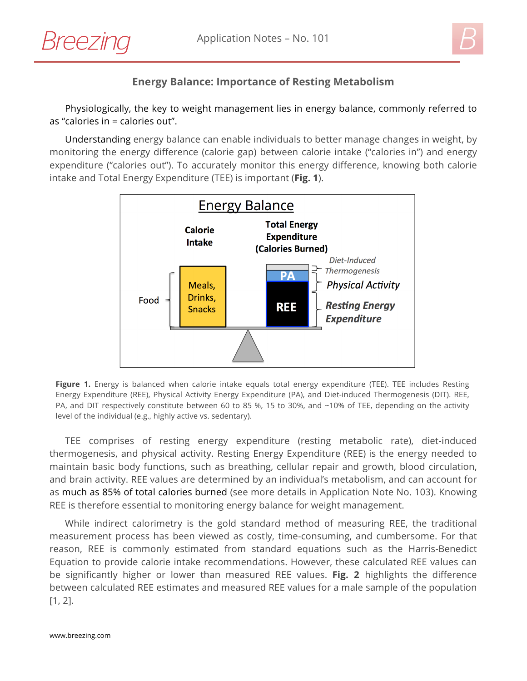



## **Energy Balance: Importance of Resting Metabolism**

Physiologically, the key to weight management lies in energy balance, commonly referred to as "calories in = calories out".

Understanding energy balance can enable individuals to better manage changes in weight, by monitoring the energy difference (calorie gap) between calorie intake ("calories in") and energy expenditure ("calories out"). To accurately monitor this energy difference, knowing both calorie intake and Total Energy Expenditure (TEE) is important (**Fig. 1**).



**Figure 1.** Energy is balanced when calorie intake equals total energy expenditure (TEE). TEE includes Resting Energy Expenditure (REE), Physical Activity Energy Expenditure (PA), and Diet-induced Thermogenesis (DIT). REE, PA, and DIT respectively constitute between 60 to 85 %, 15 to 30%, and ~10% of TEE, depending on the activity level of the individual (e.g., highly active vs. sedentary).

TEE comprises of resting energy expenditure (resting metabolic rate), diet-induced thermogenesis, and physical activity. Resting Energy Expenditure (REE) is the energy needed to maintain basic body functions, such as breathing, cellular repair and growth, blood circulation, and brain activity. REE values are determined by an individual's metabolism, and can account for as much as 85% of total calories burned (see more details in Application Note No. 103). Knowing REE is therefore essential to monitoring energy balance for weight management.

While indirect calorimetry is the gold standard method of measuring REE, the traditional measurement process has been viewed as costly, time-consuming, and cumbersome. For that reason, REE is commonly estimated from standard equations such as the Harris-Benedict Equation to provide calorie intake recommendations. However, these calculated REE values can be significantly higher or lower than measured REE values. **Fig. 2** highlights the difference between calculated REE estimates and measured REE values for a male sample of the population [1, 2].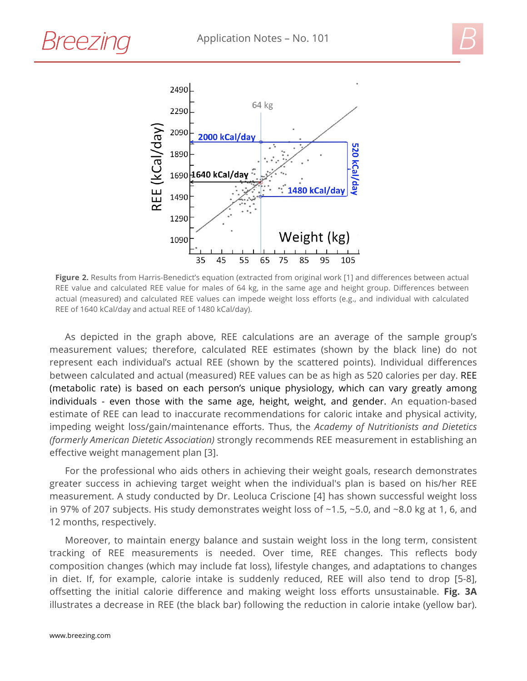



**Figure 2.** Results from Harris-Benedict's equation (extracted from original work [1] and differences between actual REE value and calculated REE value for males of 64 kg, in the same age and height group. Differences between actual (measured) and calculated REE values can impede weight loss efforts (e.g., and individual with calculated REE of 1640 kCal/day and actual REE of 1480 kCal/day).

As depicted in the graph above, REE calculations are an average of the sample group's measurement values; therefore, calculated REE estimates (shown by the black line) do not represent each individual's actual REE (shown by the scattered points). Individual differences between calculated and actual (measured) REE values can be as high as 520 calories per day. REE (metabolic rate) is based on each person's unique physiology, which can vary greatly among individuals - even those with the same age, height, weight, and gender. An equation-based estimate of REE can lead to inaccurate recommendations for caloric intake and physical activity, impeding weight loss/gain/maintenance efforts. Thus, the *Academy of Nutritionists and Dietetics (formerly American Dietetic Association)* strongly recommends REE measurement in establishing an effective weight management plan [3].

For the professional who aids others in achieving their weight goals, research demonstrates greater success in achieving target weight when the individual's plan is based on his/her REE measurement. A study conducted by Dr. Leoluca Criscione [4] has shown successful weight loss in 97% of 207 subjects. His study demonstrates weight loss of ~1.5, ~5.0, and ~8.0 kg at 1, 6, and 12 months, respectively.

Moreover, to maintain energy balance and sustain weight loss in the long term, consistent tracking of REE measurements is needed. Over time, REE changes. This reflects body composition changes (which may include fat loss), lifestyle changes, and adaptations to changes in diet. If, for example, calorie intake is suddenly reduced, REE will also tend to drop [5-8], offsetting the initial calorie difference and making weight loss efforts unsustainable. **Fig. 3A** illustrates a decrease in REE (the black bar) following the reduction in calorie intake (yellow bar).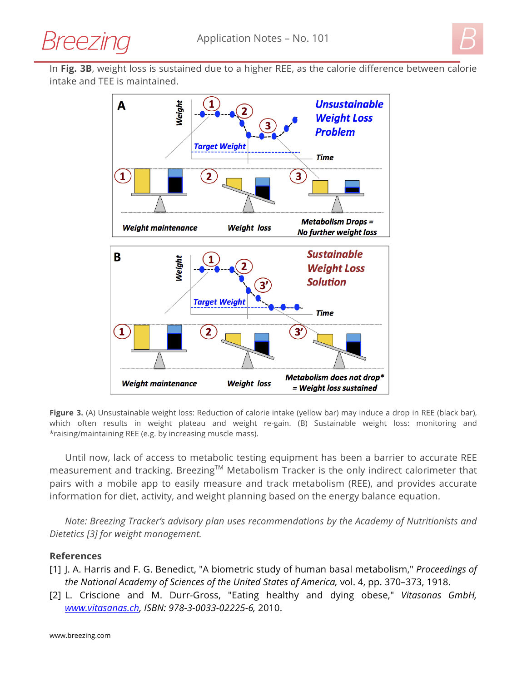



In **Fig. 3B**, weight loss is sustained due to a higher REE, as the calorie difference between calorie intake and TEE is maintained.



**Figure 3.** (A) Unsustainable weight loss: Reduction of calorie intake (yellow bar) may induce a drop in REE (black bar), which often results in weight plateau and weight re-gain. (B) Sustainable weight loss: monitoring and \*raising/maintaining REE (e.g. by increasing muscle mass).

Until now, lack of access to metabolic testing equipment has been a barrier to accurate REE measurement and tracking. Breezing™ Metabolism Tracker is the only indirect calorimeter that pairs with a mobile app to easily measure and track metabolism (REE), and provides accurate information for diet, activity, and weight planning based on the energy balance equation.

*Note: Breezing Tracker's advisory plan uses recommendations by the Academy of Nutritionists and Dietetics [3] for weight management.*

## **References**

- [1] J. A. Harris and F. G. Benedict, "A biometric study of human basal metabolism," *Proceedings of the National Academy of Sciences of the United States of America,* vol. 4, pp. 370–373, 1918.
- [2] L. Criscione and M. Durr-Gross, "Eating healthy and dying obese," *Vitasanas GmbH, www.vitasanas.ch, ISBN: 978-3-0033-02225-6,* 2010.